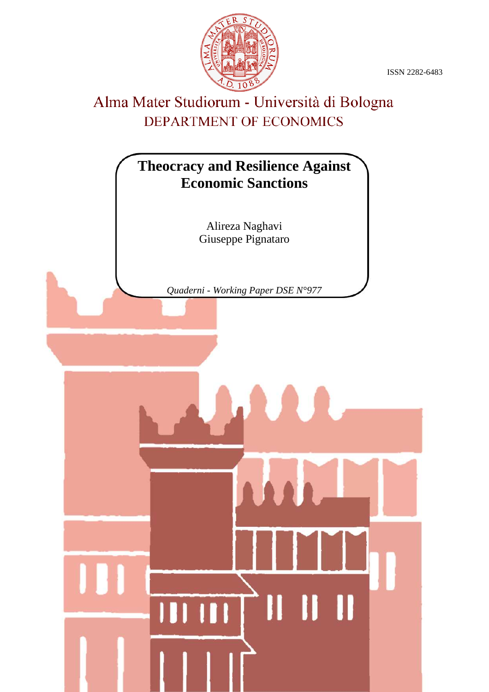ISSN 2282-6483



# Alma Mater Studiorum - Università di Bologna DEPARTMENT OF ECONOMICS

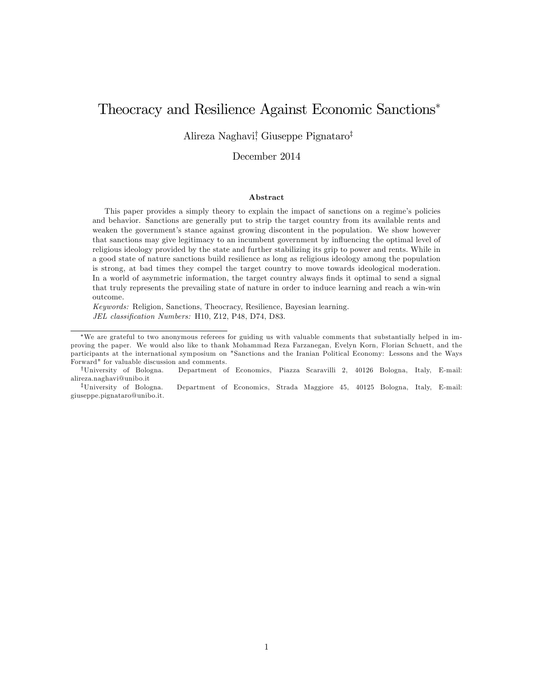## Theocracy and Resilience Against Economic Sanctions

Alireza Naghavi<sup>†</sup>, Giuseppe Pignataro<sup>‡</sup>

December 2014

#### Abstract

This paper provides a simply theory to explain the impact of sanctions on a regime's policies and behavior. Sanctions are generally put to strip the target country from its available rents and weaken the government's stance against growing discontent in the population. We show however that sanctions may give legitimacy to an incumbent government by ináuencing the optimal level of religious ideology provided by the state and further stabilizing its grip to power and rents. While in a good state of nature sanctions build resilience as long as religious ideology among the population is strong, at bad times they compel the target country to move towards ideological moderation. In a world of asymmetric information, the target country always finds it optimal to send a signal that truly represents the prevailing state of nature in order to induce learning and reach a win-win outcome.

Keywords: Religion, Sanctions, Theocracy, Resilience, Bayesian learning. JEL classification Numbers: H10, Z12, P48, D74, D83.

We are grateful to two anonymous referees for guiding us with valuable comments that substantially helped in improving the paper. We would also like to thank Mohammad Reza Farzanegan, Evelyn Korn, Florian Schuett, and the participants at the international symposium on "Sanctions and the Iranian Political Economy: Lessons and the Ways Forward" for valuable discussion and comments.

yUniversity of Bologna. Department of Economics, Piazza Scaravilli 2, 40126 Bologna, Italy, E-mail: alireza.naghavi@unibo.it

<sup>&</sup>lt;sup>‡</sup>University of Bologna. Department of Economics, Strada Maggiore 45, 40125 Bologna, Italy, E-mail: giuseppe.pignataro@unibo.it.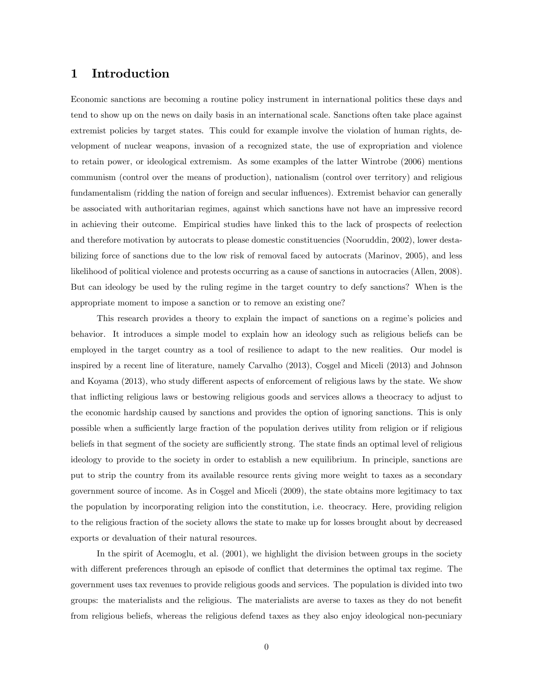## 1 Introduction

Economic sanctions are becoming a routine policy instrument in international politics these days and tend to show up on the news on daily basis in an international scale. Sanctions often take place against extremist policies by target states. This could for example involve the violation of human rights, development of nuclear weapons, invasion of a recognized state, the use of expropriation and violence to retain power, or ideological extremism. As some examples of the latter Wintrobe (2006) mentions communism (control over the means of production), nationalism (control over territory) and religious fundamentalism (ridding the nation of foreign and secular influences). Extremist behavior can generally be associated with authoritarian regimes, against which sanctions have not have an impressive record in achieving their outcome. Empirical studies have linked this to the lack of prospects of reelection and therefore motivation by autocrats to please domestic constituencies (Nooruddin, 2002), lower destabilizing force of sanctions due to the low risk of removal faced by autocrats (Marinov, 2005), and less likelihood of political violence and protests occurring as a cause of sanctions in autocracies (Allen, 2008). But can ideology be used by the ruling regime in the target country to defy sanctions? When is the appropriate moment to impose a sanction or to remove an existing one?

This research provides a theory to explain the impact of sanctions on a regime's policies and behavior. It introduces a simple model to explain how an ideology such as religious beliefs can be employed in the target country as a tool of resilience to adapt to the new realities. Our model is inspired by a recent line of literature, namely Carvalho (2013), Cosgel and Miceli (2013) and Johnson and Koyama (2013), who study different aspects of enforcement of religious laws by the state. We show that ináicting religious laws or bestowing religious goods and services allows a theocracy to adjust to the economic hardship caused by sanctions and provides the option of ignoring sanctions. This is only possible when a sufficiently large fraction of the population derives utility from religion or if religious beliefs in that segment of the society are sufficiently strong. The state finds an optimal level of religious ideology to provide to the society in order to establish a new equilibrium. In principle, sanctions are put to strip the country from its available resource rents giving more weight to taxes as a secondary government source of income. As in Cosgel and Miceli (2009), the state obtains more legitimacy to tax the population by incorporating religion into the constitution, i.e. theocracy. Here, providing religion to the religious fraction of the society allows the state to make up for losses brought about by decreased exports or devaluation of their natural resources.

In the spirit of Acemoglu, et al. (2001), we highlight the division between groups in the society with different preferences through an episode of conflict that determines the optimal tax regime. The government uses tax revenues to provide religious goods and services. The population is divided into two groups: the materialists and the religious. The materialists are averse to taxes as they do not benefit from religious beliefs, whereas the religious defend taxes as they also enjoy ideological non-pecuniary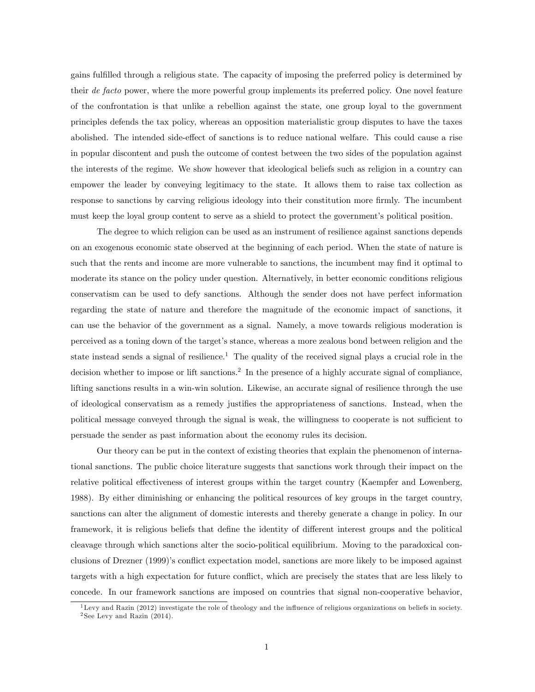gains fulÖlled through a religious state. The capacity of imposing the preferred policy is determined by their de facto power, where the more powerful group implements its preferred policy. One novel feature of the confrontation is that unlike a rebellion against the state, one group loyal to the government principles defends the tax policy, whereas an opposition materialistic group disputes to have the taxes abolished. The intended side-effect of sanctions is to reduce national welfare. This could cause a rise in popular discontent and push the outcome of contest between the two sides of the population against the interests of the regime. We show however that ideological beliefs such as religion in a country can empower the leader by conveying legitimacy to the state. It allows them to raise tax collection as response to sanctions by carving religious ideology into their constitution more firmly. The incumbent must keep the loyal group content to serve as a shield to protect the government's political position.

The degree to which religion can be used as an instrument of resilience against sanctions depends on an exogenous economic state observed at the beginning of each period. When the state of nature is such that the rents and income are more vulnerable to sanctions, the incumbent may find it optimal to moderate its stance on the policy under question. Alternatively, in better economic conditions religious conservatism can be used to defy sanctions. Although the sender does not have perfect information regarding the state of nature and therefore the magnitude of the economic impact of sanctions, it can use the behavior of the government as a signal. Namely, a move towards religious moderation is perceived as a toning down of the target's stance, whereas a more zealous bond between religion and the state instead sends a signal of resilience.<sup>1</sup> The quality of the received signal plays a crucial role in the decision whether to impose or lift sanctions.<sup>2</sup> In the presence of a highly accurate signal of compliance, lifting sanctions results in a win-win solution. Likewise, an accurate signal of resilience through the use of ideological conservatism as a remedy justifies the appropriateness of sanctions. Instead, when the political message conveyed through the signal is weak, the willingness to cooperate is not sufficient to persuade the sender as past information about the economy rules its decision.

Our theory can be put in the context of existing theories that explain the phenomenon of international sanctions. The public choice literature suggests that sanctions work through their impact on the relative political effectiveness of interest groups within the target country (Kaempfer and Lowenberg, 1988). By either diminishing or enhancing the political resources of key groups in the target country, sanctions can alter the alignment of domestic interests and thereby generate a change in policy. In our framework, it is religious beliefs that define the identity of different interest groups and the political cleavage through which sanctions alter the socio-political equilibrium. Moving to the paradoxical conclusions of Drezner (1999)'s conflict expectation model, sanctions are more likely to be imposed against targets with a high expectation for future conflict, which are precisely the states that are less likely to concede. In our framework sanctions are imposed on countries that signal non-cooperative behavior,

 $1$ Levy and Razin (2012) investigate the role of theology and the influence of religious organizations on beliefs in society.  $2$ See Levy and Razin (2014).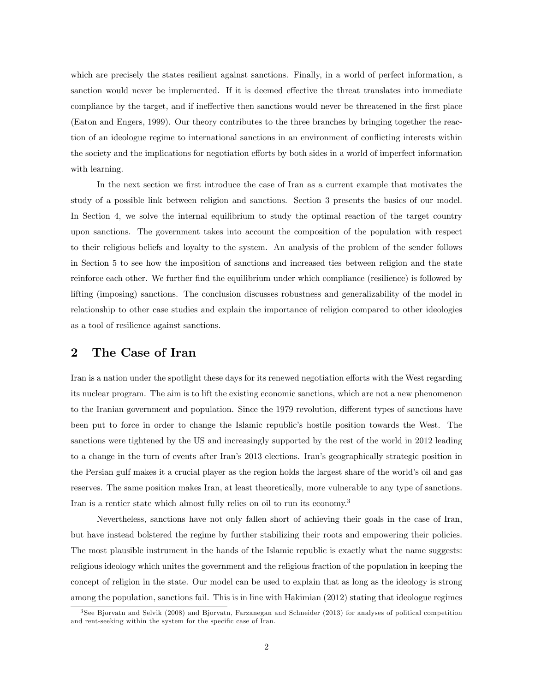which are precisely the states resilient against sanctions. Finally, in a world of perfect information, a sanction would never be implemented. If it is deemed effective the threat translates into immediate compliance by the target, and if ineffective then sanctions would never be threatened in the first place (Eaton and Engers, 1999). Our theory contributes to the three branches by bringing together the reaction of an ideologue regime to international sanctions in an environment of conflicting interests within the society and the implications for negotiation efforts by both sides in a world of imperfect information with learning.

In the next section we first introduce the case of Iran as a current example that motivates the study of a possible link between religion and sanctions. Section 3 presents the basics of our model. In Section 4, we solve the internal equilibrium to study the optimal reaction of the target country upon sanctions. The government takes into account the composition of the population with respect to their religious beliefs and loyalty to the system. An analysis of the problem of the sender follows in Section 5 to see how the imposition of sanctions and increased ties between religion and the state reinforce each other. We further find the equilibrium under which compliance (resilience) is followed by lifting (imposing) sanctions. The conclusion discusses robustness and generalizability of the model in relationship to other case studies and explain the importance of religion compared to other ideologies as a tool of resilience against sanctions.

## 2 The Case of Iran

Iran is a nation under the spotlight these days for its renewed negotiation efforts with the West regarding its nuclear program. The aim is to lift the existing economic sanctions, which are not a new phenomenon to the Iranian government and population. Since the 1979 revolution, different types of sanctions have been put to force in order to change the Islamic republic's hostile position towards the West. The sanctions were tightened by the US and increasingly supported by the rest of the world in 2012 leading to a change in the turn of events after Iran's 2013 elections. Iran's geographically strategic position in the Persian gulf makes it a crucial player as the region holds the largest share of the world's oil and gas reserves. The same position makes Iran, at least theoretically, more vulnerable to any type of sanctions. Iran is a rentier state which almost fully relies on oil to run its economy.<sup>3</sup>

Nevertheless, sanctions have not only fallen short of achieving their goals in the case of Iran, but have instead bolstered the regime by further stabilizing their roots and empowering their policies. The most plausible instrument in the hands of the Islamic republic is exactly what the name suggests: religious ideology which unites the government and the religious fraction of the population in keeping the concept of religion in the state. Our model can be used to explain that as long as the ideology is strong among the population, sanctions fail. This is in line with Hakimian (2012) stating that ideologue regimes

<sup>3</sup> See Bjorvatn and Selvik (2008) and Bjorvatn, Farzanegan and Schneider (2013) for analyses of political competition and rent-seeking within the system for the specific case of Iran.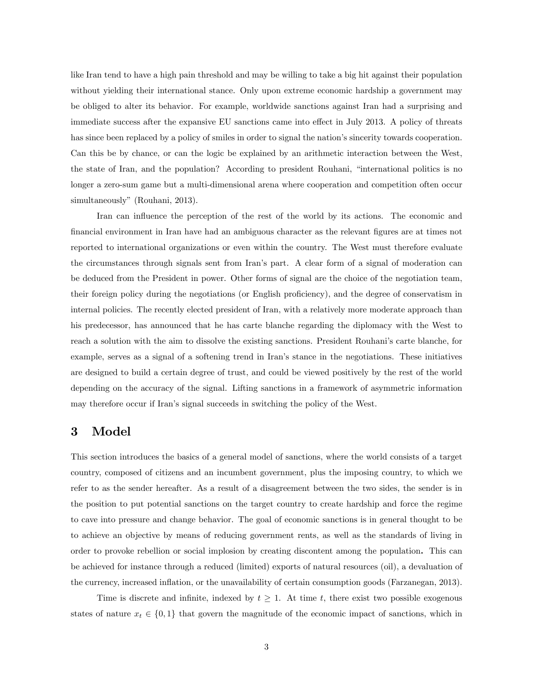like Iran tend to have a high pain threshold and may be willing to take a big hit against their population without yielding their international stance. Only upon extreme economic hardship a government may be obliged to alter its behavior. For example, worldwide sanctions against Iran had a surprising and immediate success after the expansive EU sanctions came into effect in July 2013. A policy of threats has since been replaced by a policy of smiles in order to signal the nation's sincerity towards cooperation. Can this be by chance, or can the logic be explained by an arithmetic interaction between the West, the state of Iran, and the population? According to president Rouhani, "international politics is no longer a zero-sum game but a multi-dimensional arena where cooperation and competition often occur simultaneously" (Rouhani, 2013).

Iran can influence the perception of the rest of the world by its actions. The economic and Önancial environment in Iran have had an ambiguous character as the relevant Ögures are at times not reported to international organizations or even within the country. The West must therefore evaluate the circumstances through signals sent from Iranís part. A clear form of a signal of moderation can be deduced from the President in power. Other forms of signal are the choice of the negotiation team, their foreign policy during the negotiations (or English proficiency), and the degree of conservatism in internal policies. The recently elected president of Iran, with a relatively more moderate approach than his predecessor, has announced that he has carte blanche regarding the diplomacy with the West to reach a solution with the aim to dissolve the existing sanctions. President Rouhani's carte blanche, for example, serves as a signal of a softening trend in Iranís stance in the negotiations. These initiatives are designed to build a certain degree of trust, and could be viewed positively by the rest of the world depending on the accuracy of the signal. Lifting sanctions in a framework of asymmetric information may therefore occur if Iranís signal succeeds in switching the policy of the West.

## 3 Model

This section introduces the basics of a general model of sanctions, where the world consists of a target country, composed of citizens and an incumbent government, plus the imposing country, to which we refer to as the sender hereafter. As a result of a disagreement between the two sides, the sender is in the position to put potential sanctions on the target country to create hardship and force the regime to cave into pressure and change behavior. The goal of economic sanctions is in general thought to be to achieve an objective by means of reducing government rents, as well as the standards of living in order to provoke rebellion or social implosion by creating discontent among the population. This can be achieved for instance through a reduced (limited) exports of natural resources (oil), a devaluation of the currency, increased ináation, or the unavailability of certain consumption goods (Farzanegan, 2013).

Time is discrete and infinite, indexed by  $t \geq 1$ . At time t, there exist two possible exogenous states of nature  $x_t \in \{0, 1\}$  that govern the magnitude of the economic impact of sanctions, which in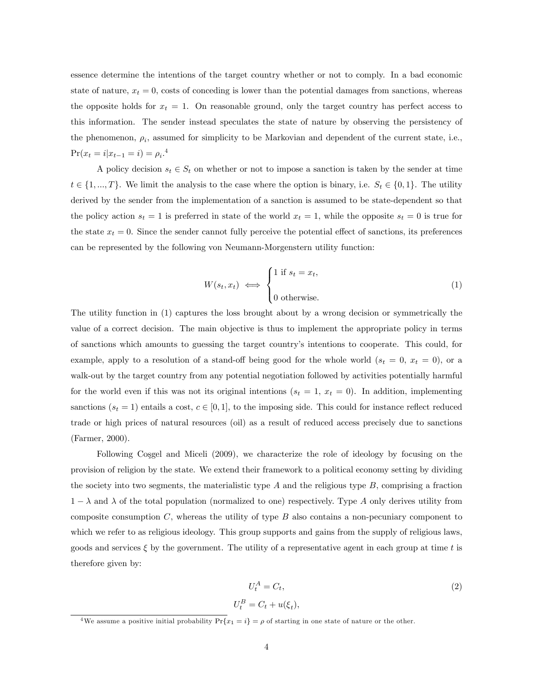essence determine the intentions of the target country whether or not to comply. In a bad economic state of nature,  $x_t = 0$ , costs of conceding is lower than the potential damages from sanctions, whereas the opposite holds for  $x_t = 1$ . On reasonable ground, only the target country has perfect access to this information. The sender instead speculates the state of nature by observing the persistency of the phenomenon,  $\rho_i$ , assumed for simplicity to be Markovian and dependent of the current state, i.e.,  $Pr(x_t = i | x_{t-1} = i) = \rho_i$ .<sup>4</sup>

A policy decision  $s_t \in S_t$  on whether or not to impose a sanction is taken by the sender at time  $t \in \{1, ..., T\}$ . We limit the analysis to the case where the option is binary, i.e.  $S_t \in \{0, 1\}$ . The utility derived by the sender from the implementation of a sanction is assumed to be state-dependent so that the policy action  $s_t = 1$  is preferred in state of the world  $x_t = 1$ , while the opposite  $s_t = 0$  is true for the state  $x_t = 0$ . Since the sender cannot fully perceive the potential effect of sanctions, its preferences can be represented by the following von Neumann-Morgenstern utility function:

$$
W(s_t, x_t) \iff \begin{cases} 1 \text{ if } s_t = x_t, \\ 0 \text{ otherwise.} \end{cases}
$$
 (1)

The utility function in (1) captures the loss brought about by a wrong decision or symmetrically the value of a correct decision. The main objective is thus to implement the appropriate policy in terms of sanctions which amounts to guessing the target countryís intentions to cooperate. This could, for example, apply to a resolution of a stand-off being good for the whole world  $(s_t = 0, x_t = 0)$ , or a walk-out by the target country from any potential negotiation followed by activities potentially harmful for the world even if this was not its original intentions ( $s_t = 1, x_t = 0$ ). In addition, implementing sanctions  $(s_t = 1)$  entails a cost,  $c \in [0, 1]$ , to the imposing side. This could for instance reflect reduced trade or high prices of natural resources (oil) as a result of reduced access precisely due to sanctions (Farmer, 2000).

Following Cosgel and Miceli (2009), we characterize the role of ideology by focusing on the provision of religion by the state. We extend their framework to a political economy setting by dividing the society into two segments, the materialistic type  $A$  and the religious type  $B$ , comprising a fraction  $1 - \lambda$  and  $\lambda$  of the total population (normalized to one) respectively. Type A only derives utility from composite consumption  $C$ , whereas the utility of type  $B$  also contains a non-pecuniary component to which we refer to as religious ideology. This group supports and gains from the supply of religious laws, goods and services  $\xi$  by the government. The utility of a representative agent in each group at time t is therefore given by:

$$
U_t^A = C_t,
$$
  
\n
$$
U_t^B = C_t + u(\xi_t),
$$
\n(2)

<sup>&</sup>lt;sup>4</sup>We assume a positive initial probability  $Pr\{x_1 = i\} = \rho$  of starting in one state of nature or the other.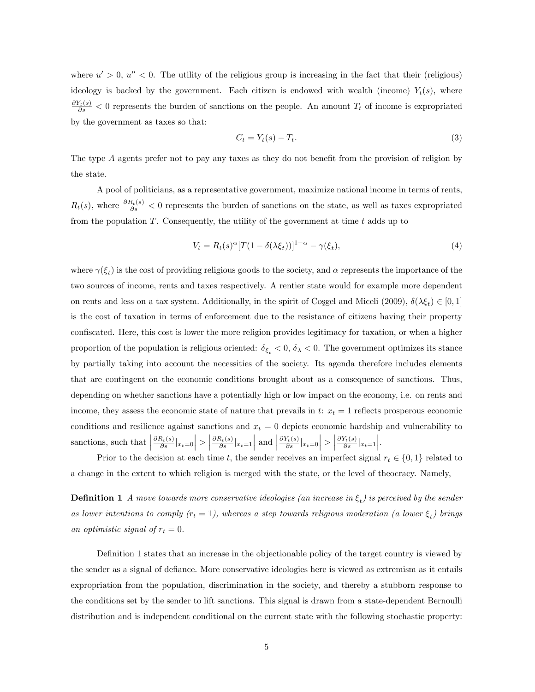where  $u' > 0$ ,  $u'' < 0$ . The utility of the religious group is increasing in the fact that their (religious) ideology is backed by the government. Each citizen is endowed with wealth (income)  $Y_t(s)$ , where  $\frac{\partial Y_t(s)}{\partial s}$  < 0 represents the burden of sanctions on the people. An amount  $T_t$  of income is expropriated by the government as taxes so that:

$$
C_t = Y_t(s) - T_t.
$$
\n<sup>(3)</sup>

The type  $A$  agents prefer not to pay any taxes as they do not benefit from the provision of religion by the state.

A pool of politicians, as a representative government, maximize national income in terms of rents,  $R_t(s)$ , where  $\frac{\partial R_t(s)}{\partial s} < 0$  represents the burden of sanctions on the state, as well as taxes expropriated from the population  $T$ . Consequently, the utility of the government at time  $t$  adds up to

$$
V_t = R_t(s)^\alpha [T(1 - \delta(\lambda \xi_t))]^{1-\alpha} - \gamma(\xi_t), \tag{4}
$$

where  $\gamma(\xi_t)$  is the cost of providing religious goods to the society, and  $\alpha$  represents the importance of the two sources of income, rents and taxes respectively. A rentier state would for example more dependent on rents and less on a tax system. Additionally, in the spirit of Cosgel and Miceli (2009),  $\delta(\lambda \xi_t) \in [0, 1]$ is the cost of taxation in terms of enforcement due to the resistance of citizens having their property confiscated. Here, this cost is lower the more religion provides legitimacy for taxation, or when a higher proportion of the population is religious oriented:  $\delta_{\xi_t} < 0$ ,  $\delta_{\lambda} < 0$ . The government optimizes its stance by partially taking into account the necessities of the society. Its agenda therefore includes elements that are contingent on the economic conditions brought about as a consequence of sanctions. Thus, depending on whether sanctions have a potentially high or low impact on the economy, i.e. on rents and income, they assess the economic state of nature that prevails in  $t: x_t = 1$  reflects prosperous economic conditions and resilience against sanctions and  $x_t = 0$  depicts economic hardship and vulnerability to sanctions, such that  $\Big|$  $\frac{\partial R_t(s)}{\partial s}|_{x_t=0}$  $\vert$  >  $\vert$  $\frac{\partial R_t(s)}{\partial s}|_{x_t=1}$  $\Big\vert$  and  $\Big\vert$  $\frac{\partial Y_t(s)}{\partial s}|_{x_t=0}$  $\vert$  >  $\vert$  $\frac{\partial Y_t(s)}{\partial s}|_{x_t=1}$   .

Prior to the decision at each time t, the sender receives an imperfect signal  $r_t \in \{0, 1\}$  related to a change in the extent to which religion is merged with the state, or the level of theocracy. Namely,

**Definition 1** A move towards more conservative ideologies (an increase in  $\xi_t$ ) is perceived by the sender as lower intentions to comply  $(r_t = 1)$ , whereas a step towards religious moderation (a lower  $\xi_t$ ) brings an optimistic signal of  $r_t = 0$ .

Definition 1 states that an increase in the objectionable policy of the target country is viewed by the sender as a signal of defiance. More conservative ideologies here is viewed as extremism as it entails expropriation from the population, discrimination in the society, and thereby a stubborn response to the conditions set by the sender to lift sanctions. This signal is drawn from a state-dependent Bernoulli distribution and is independent conditional on the current state with the following stochastic property: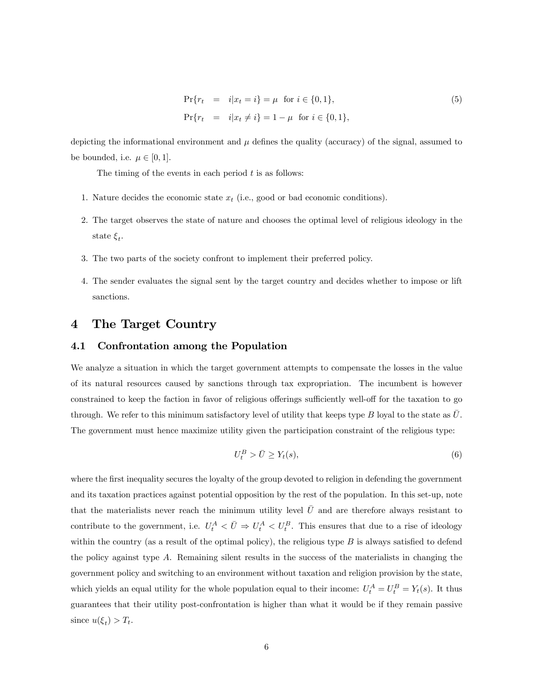$$
\Pr\{r_t = i | x_t = i\} = \mu \text{ for } i \in \{0, 1\},
$$
  
\n
$$
\Pr\{r_t = i | x_t \neq i\} = 1 - \mu \text{ for } i \in \{0, 1\},
$$
\n(5)

depicting the informational environment and  $\mu$  defines the quality (accuracy) of the signal, assumed to be bounded, i.e.  $\mu \in [0, 1]$ .

The timing of the events in each period  $t$  is as follows:

- 1. Nature decides the economic state  $x_t$  (i.e., good or bad economic conditions).
- 2. The target observes the state of nature and chooses the optimal level of religious ideology in the state  $\xi_t$ .
- 3. The two parts of the society confront to implement their preferred policy.
- 4. The sender evaluates the signal sent by the target country and decides whether to impose or lift sanctions.

### 4 The Target Country

#### 4.1 Confrontation among the Population

We analyze a situation in which the target government attempts to compensate the losses in the value of its natural resources caused by sanctions through tax expropriation. The incumbent is however constrained to keep the faction in favor of religious offerings sufficiently well-off for the taxation to go through. We refer to this minimum satisfactory level of utility that keeps type  $B$  loyal to the state as  $U$ . The government must hence maximize utility given the participation constraint of the religious type:

$$
U_t^B > \bar{U} \ge Y_t(s),\tag{6}
$$

where the first inequality secures the loyalty of the group devoted to religion in defending the government and its taxation practices against potential opposition by the rest of the population. In this set-up, note that the materialists never reach the minimum utility level  $\bar{U}$  and are therefore always resistant to contribute to the government, i.e.  $U_t^A < \bar{U} \Rightarrow U_t^A < U_t^B$ . This ensures that due to a rise of ideology within the country (as a result of the optimal policy), the religious type  $B$  is always satisfied to defend the policy against type A. Remaining silent results in the success of the materialists in changing the government policy and switching to an environment without taxation and religion provision by the state, which yields an equal utility for the whole population equal to their income:  $U_t^A = U_t^B = Y_t(s)$ . It thus guarantees that their utility post-confrontation is higher than what it would be if they remain passive since  $u(\xi_t) > T_t$ .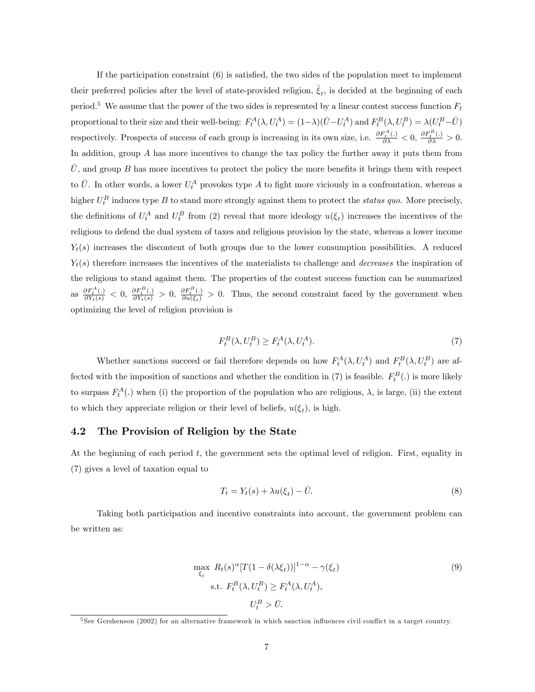If the participation constraint  $(6)$  is satisfied, the two sides of the population meet to implement their preferred policies after the level of state-provided religion,  $\hat{\zeta}_t$ , is decided at the beginning of each period.<sup>5</sup> We assume that the power of the two sides is represented by a linear contest success function  $F_t$ proportional to their size and their well-being:  $F_t^A(\lambda, U_t^A) = (1-\lambda)(\bar{U} - U_t^A)$  and  $F_t^B(\lambda, U_t^B) = \lambda(U_t^B - \bar{U})$ respectively. Prospects of success of each group is increasing in its own size, i.e.  $\frac{\partial F_t^A(.)}{\partial \lambda} < 0$ ,  $\frac{\partial F_t^B(.)}{\partial \lambda} > 0$ . In addition, group A has more incentives to change the tax policy the further away it puts them from U, and group  $B$  has more incentives to protect the policy the more benefits it brings them with respect to  $\bar{U}$ . In other words, a lower  $U_t^A$  provokes type A to fight more viciously in a confrontation, whereas a higher  $U_t^B$  induces type B to stand more strongly against them to protect the *status quo*. More precisely, the definitions of  $U_t^A$  and  $U_t^B$  from (2) reveal that more ideology  $u(\xi_t)$  increases the incentives of the religious to defend the dual system of taxes and religious provision by the state, whereas a lower income  $Y_t(s)$  increases the discontent of both groups due to the lower consumption possibilities. A reduced  $Y_t(s)$  therefore increases the incentives of the materialists to challenge and *decreases* the inspiration of the religious to stand against them. The properties of the contest success function can be summarized as  $\frac{\partial F_t^A(.)}{\partial Y_t(s)} < 0$ ,  $\frac{\partial F_t^B(.)}{\partial Y_t(s)} > 0$ ,  $\frac{\partial F_t^B(.)}{\partial u(\xi_t)}$  $\frac{\partial P_t(x)}{\partial u(\xi_t)} > 0$ . Thus, the second constraint faced by the government when optimizing the level of religion provision is

$$
F_t^B(\lambda, U_t^B) \ge F_t^A(\lambda, U_t^A). \tag{7}
$$

Whether sanctions succeed or fail therefore depends on how  $F_t^A(\lambda, U_t^A)$  and  $F_t^B(\lambda, U_t^B)$  are affected with the imposition of sanctions and whether the condition in (7) is feasible.  $F_t^B(.)$  is more likely to surpass  $F_t^A(.)$  when (i) the proportion of the population who are religious,  $\lambda$ , is large, (ii) the extent to which they appreciate religion or their level of beliefs,  $u(\xi_t)$ , is high.

#### 4.2 The Provision of Religion by the State

At the beginning of each period t, the government sets the optimal level of religion. First, equality in (7) gives a level of taxation equal to

$$
T_t = Y_t(s) + \lambda u(\xi_t) - \bar{U}.\tag{8}
$$

Taking both participation and incentive constraints into account, the government problem can be written as:

$$
\max_{\xi_t} R_t(s)^{\alpha} [T(1 - \delta(\lambda \xi_t))]^{1-\alpha} - \gamma(\xi_t)
$$
\n
$$
\text{s.t. } F_t^B(\lambda, U_t^B) \ge F_t^A(\lambda, U_t^A),
$$
\n
$$
U_t^B > \bar{U}.
$$
\n
$$
(9)
$$

 $5$  See Gershenson (2002) for an alternative framework in which sanction influences civil conflict in a target country.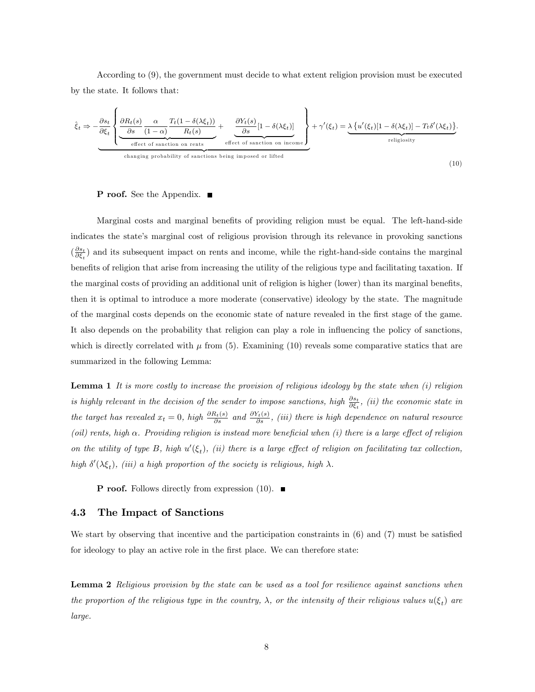According to (9), the government must decide to what extent religion provision must be executed by the state. It follows that:

$$
\hat{\xi}_t \Rightarrow -\frac{\partial s_t}{\partial \xi_t} \left\{ \underbrace{\frac{\partial R_t(s)}{\partial s} \frac{\alpha}{(1-\alpha)} \frac{T_t(1-\delta(\lambda \xi_t))}{R_t(s)}}_{\text{effect of sancion on rents}} + \underbrace{\frac{\partial Y_t(s)}{\partial s} [1-\delta(\lambda \xi_t)]}_{\text{effect of sancition on income}} \right\} + \gamma'(\xi_t) = \underbrace{\lambda \left\{ u'(\xi_t) [1-\delta(\lambda \xi_t)] - T_t \delta'(\lambda \xi_t) \right\}}_{\text{religisisty}}.
$$
\n(10)

#### **P** roof. See the Appendix. ■

Marginal costs and marginal benefits of providing religion must be equal. The left-hand-side indicates the state's marginal cost of religious provision through its relevance in provoking sanctions  $(\frac{\partial s_t}{\partial \xi_t})$  and its subsequent impact on rents and income, while the right-hand-side contains the marginal benefits of religion that arise from increasing the utility of the religious type and facilitating taxation. If the marginal costs of providing an additional unit of religion is higher (lower) than its marginal benefits, then it is optimal to introduce a more moderate (conservative) ideology by the state. The magnitude of the marginal costs depends on the economic state of nature revealed in the Örst stage of the game. It also depends on the probability that religion can play a role in influencing the policy of sanctions, which is directly correlated with  $\mu$  from (5). Examining (10) reveals some comparative statics that are summarized in the following Lemma:

**Lemma 1** It is more costly to increase the provision of religious ideology by the state when  $(i)$  religion is highly relevant in the decision of the sender to impose sanctions, high  $\frac{\partial s_t}{\partial \xi_t}$ , (ii) the economic state in the target has revealed  $x_t = 0$ , high  $\frac{\partial R_t(s)}{\partial s}$  and  $\frac{\partial Y_t(s)}{\partial s}$ , (iii) there is high dependence on natural resource (oil) rents, high  $\alpha$ . Providing religion is instead more beneficial when (i) there is a large effect of religion on the utility of type B, high  $u'(\xi_t)$ , (ii) there is a large effect of religion on facilitating tax collection, high  $\delta'(\lambda \xi_t)$ , (iii) a high proportion of the society is religious, high  $\lambda$ .

**P** roof. Follows directly from expression (10).

#### 4.3 The Impact of Sanctions

We start by observing that incentive and the participation constraints in  $(6)$  and  $(7)$  must be satisfied for ideology to play an active role in the first place. We can therefore state:

Lemma 2 Religious provision by the state can be used as a tool for resilience against sanctions when the proportion of the religious type in the country,  $\lambda$ , or the intensity of their religious values  $u(\xi_t)$  are large.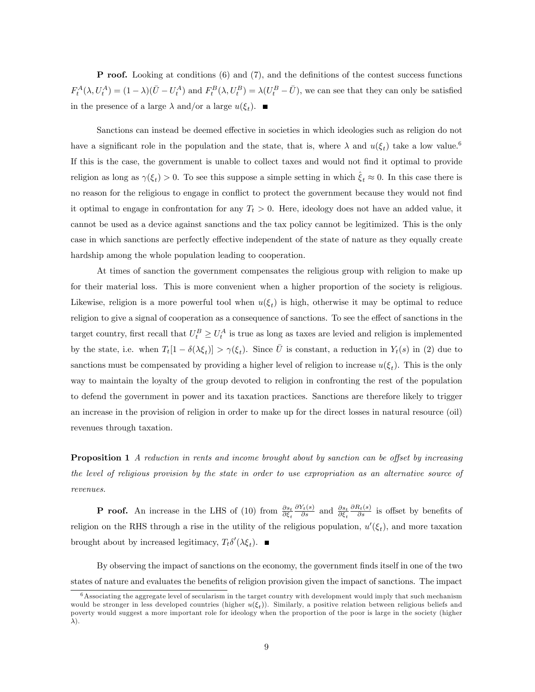**P** roof. Looking at conditions  $(6)$  and  $(7)$ , and the definitions of the contest success functions  $F_t^A(\lambda, U_t^A) = (1 - \lambda)(\overline{U} - U_t^A)$  and  $F_t^B(\lambda, U_t^B) = \lambda(U_t^B - \overline{U})$ , we can see that they can only be satisfied in the presence of a large  $\lambda$  and/or a large  $u(\xi_t)$ .

Sanctions can instead be deemed effective in societies in which ideologies such as religion do not have a significant role in the population and the state, that is, where  $\lambda$  and  $u(\xi_t)$  take a low value.<sup>6</sup> If this is the case, the government is unable to collect taxes and would not find it optimal to provide religion as long as  $\gamma(\xi_t) > 0$ . To see this suppose a simple setting in which  $\hat{\xi}_t \approx 0$ . In this case there is no reason for the religious to engage in conflict to protect the government because they would not find it optimal to engage in confrontation for any  $T_t > 0$ . Here, ideology does not have an added value, it cannot be used as a device against sanctions and the tax policy cannot be legitimized. This is the only case in which sanctions are perfectly effective independent of the state of nature as they equally create hardship among the whole population leading to cooperation.

At times of sanction the government compensates the religious group with religion to make up for their material loss. This is more convenient when a higher proportion of the society is religious. Likewise, religion is a more powerful tool when  $u(\xi_t)$  is high, otherwise it may be optimal to reduce religion to give a signal of cooperation as a consequence of sanctions. To see the effect of sanctions in the target country, first recall that  $U_t^B \geq U_t^A$  is true as long as taxes are levied and religion is implemented by the state, i.e. when  $T_t[1 - \delta(\lambda \xi_t)] > \gamma(\xi_t)$ . Since  $\overline{U}$  is constant, a reduction in  $Y_t(s)$  in (2) due to sanctions must be compensated by providing a higher level of religion to increase  $u(\xi_t)$ . This is the only way to maintain the loyalty of the group devoted to religion in confronting the rest of the population to defend the government in power and its taxation practices. Sanctions are therefore likely to trigger an increase in the provision of religion in order to make up for the direct losses in natural resource (oil) revenues through taxation.

**Proposition 1** A reduction in rents and income brought about by sanction can be offset by increasing the level of religious provision by the state in order to use expropriation as an alternative source of revenues.

**P** roof. An increase in the LHS of (10) from  $\frac{\partial s_t}{\partial \xi_t}$  $\frac{\partial Y_t(s)}{\partial s}$  and  $\frac{\partial s_t}{\partial \xi_t}$  $\frac{\partial R_t(s)}{\partial s}$  is offset by benefits of religion on the RHS through a rise in the utility of the religious population,  $u'(\xi_t)$ , and more taxation brought about by increased legitimacy,  $T_t \delta'(\lambda \xi_t)$ .

By observing the impact of sanctions on the economy, the government finds itself in one of the two states of nature and evaluates the benefits of religion provision given the impact of sanctions. The impact

 $6$ Associating the aggregate level of secularism in the target country with development would imply that such mechanism would be stronger in less developed countries (higher  $u(\xi_t)$ ). Similarly, a positive relation between religious beliefs and poverty would suggest a more important role for ideology when the proportion of the poor is large in the society (higher  $\lambda$ ).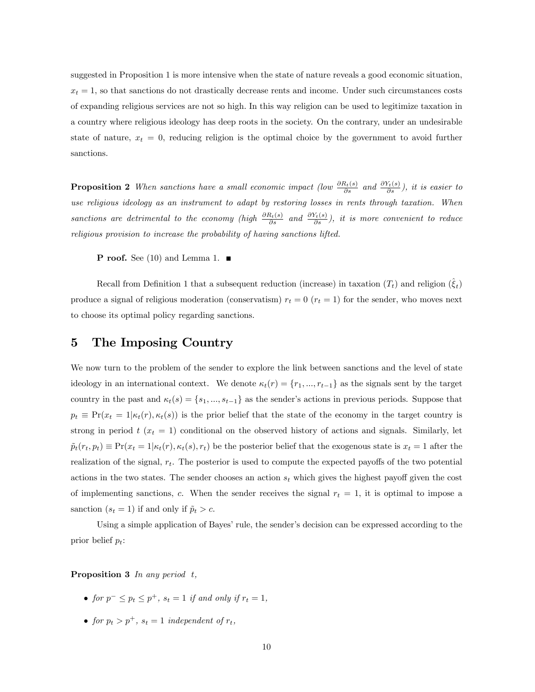suggested in Proposition 1 is more intensive when the state of nature reveals a good economic situation,  $x_t = 1$ , so that sanctions do not drastically decrease rents and income. Under such circumstances costs of expanding religious services are not so high. In this way religion can be used to legitimize taxation in a country where religious ideology has deep roots in the society. On the contrary, under an undesirable state of nature,  $x_t = 0$ , reducing religion is the optimal choice by the government to avoid further sanctions.

**Proposition 2** When sanctions have a small economic impact (low  $\frac{\partial R_t(s)}{\partial s}$  and  $\frac{\partial Y_t(s)}{\partial s}$ ), it is easier to use religious ideology as an instrument to adapt by restoring losses in rents through taxation. When sanctions are detrimental to the economy (high  $\frac{\partial R_t(s)}{\partial s}$  and  $\frac{\partial Y_t(s)}{\partial s}$ ), it is more convenient to reduce religious provision to increase the probability of having sanctions lifted.

**P** roof. See (10) and Lemma 1.  $\blacksquare$ 

Recall from Definition 1 that a subsequent reduction (increase) in taxation  $(T_t)$  and religion  $(\hat{\xi}_t)$ produce a signal of religious moderation (conservatism)  $r_t = 0$  ( $r_t = 1$ ) for the sender, who moves next to choose its optimal policy regarding sanctions.

## 5 The Imposing Country

We now turn to the problem of the sender to explore the link between sanctions and the level of state ideology in an international context. We denote  $\kappa_t(r) = \{r_1, ..., r_{t-1}\}$  as the signals sent by the target country in the past and  $\kappa_t(s) = \{s_1, ..., s_{t-1}\}\$ as the sender's actions in previous periods. Suppose that  $p_t \equiv \Pr(x_t = 1 | \kappa_t(r), \kappa_t(s))$  is the prior belief that the state of the economy in the target country is strong in period  $t$  ( $x_t = 1$ ) conditional on the observed history of actions and signals. Similarly, let  $\tilde{p}_t(r_t, p_t) \equiv \Pr(x_t = 1 | \kappa_t(r), \kappa_t(s), r_t)$  be the posterior belief that the exogenous state is  $x_t = 1$  after the realization of the signal,  $r_t$ . The posterior is used to compute the expected payoffs of the two potential actions in the two states. The sender chooses an action  $s_t$  which gives the highest payoff given the cost of implementing sanctions, c. When the sender receives the signal  $r_t = 1$ , it is optimal to impose a sanction  $(s_t = 1)$  if and only if  $\tilde{p}_t > c$ .

Using a simple application of Bayes' rule, the sender's decision can be expressed according to the prior belief  $p_t$ :

**Proposition 3** In any period  $t$ ,

- for  $p^- \leq p_t \leq p^+$ ,  $s_t = 1$  if and only if  $r_t = 1$ ,
- for  $p_t > p^+$ ,  $s_t = 1$  independent of  $r_t$ .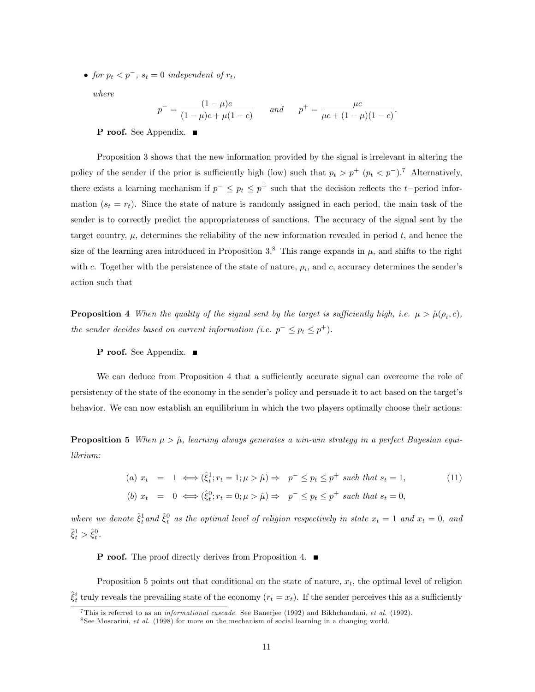• for  $p_t < p^-$ ,  $s_t = 0$  independent of  $r_t$ ,

where

$$
p^- = \frac{(1-\mu)c}{(1-\mu)c + \mu(1-c)}
$$
 and  $p^+ = \frac{\mu c}{\mu c + (1-\mu)(1-c)}$ 

:

P roof. See Appendix. ■

Proposition 3 shows that the new information provided by the signal is irrelevant in altering the policy of the sender if the prior is sufficiently high (low) such that  $p_t > p^+$  ( $p_t < p^-$ ).<sup>7</sup> Alternatively, there exists a learning mechanism if  $p^- \leq p_t \leq p^+$  such that the decision reflects the t-period information  $(s_t = r_t)$ . Since the state of nature is randomly assigned in each period, the main task of the sender is to correctly predict the appropriateness of sanctions. The accuracy of the signal sent by the target country,  $\mu$ , determines the reliability of the new information revealed in period t, and hence the size of the learning area introduced in Proposition 3.<sup>8</sup> This range expands in  $\mu$ , and shifts to the right with c. Together with the persistence of the state of nature,  $\rho_i$ , and c, accuracy determines the sender's action such that

**Proposition 4** When the quality of the signal sent by the target is sufficiently high, i.e.  $\mu > \hat{\mu}(\rho_i, c)$ , the sender decides based on current information (i.e.  $p^- \leq p_t \leq p^+$ ).

#### P roof. See Appendix. ■

We can deduce from Proposition 4 that a sufficiently accurate signal can overcome the role of persistency of the state of the economy in the sender's policy and persuade it to act based on the target's behavior. We can now establish an equilibrium in which the two players optimally choose their actions:

**Proposition 5** When  $\mu > \hat{\mu}$ , learning always generates a win-win strategy in a perfect Bayesian equilibrium:

$$
(a) \ x_t = 1 \iff (\hat{\xi}_t^1; r_t = 1; \mu > \hat{\mu}) \Rightarrow \ p^- \leq p_t \leq p^+ \text{ such that } s_t = 1,
$$
  

$$
(b) \ x_t = 0 \iff (\hat{\xi}_t^0; r_t = 0; \mu > \hat{\mu}) \Rightarrow \ p^- \leq p_t \leq p^+ \text{ such that } s_t = 0,
$$
  

$$
(11)
$$

where we denote  $\hat{\xi}^1_t$  and  $\hat{\xi}^0_t$  as the optimal level of religion respectively in state  $x_t = 1$  and  $x_t = 0$ , and  $\hat{\xi}^1_t > \hat{\xi}^0_t$ .

P roof. The proof directly derives from Proposition 4. ■

Proposition 5 points out that conditional on the state of nature,  $x_t$ , the optimal level of religion  $\hat{\xi}^i_t$  truly reveals the prevailing state of the economy  $(r_t = x_t)$ . If the sender perceives this as a sufficiently

<sup>&</sup>lt;sup>7</sup>This is referred to as an *informational cascade*. See Banerjee (1992) and Bikhchandani, *et al.* (1992).

<sup>&</sup>lt;sup>8</sup> See Moscarini, *et al.* (1998) for more on the mechanism of social learning in a changing world.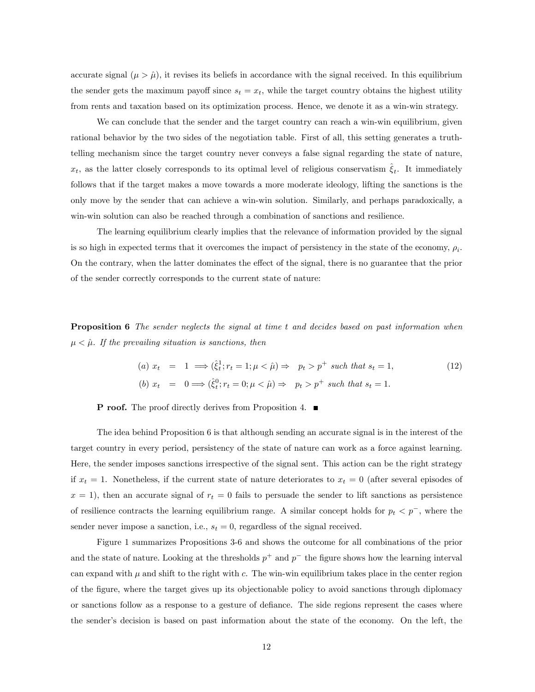accurate signal  $(\mu > \hat{\mu})$ , it revises its beliefs in accordance with the signal received. In this equilibrium the sender gets the maximum payoff since  $s_t = x_t$ , while the target country obtains the highest utility from rents and taxation based on its optimization process. Hence, we denote it as a win-win strategy.

We can conclude that the sender and the target country can reach a win-win equilibrium, given rational behavior by the two sides of the negotiation table. First of all, this setting generates a truthtelling mechanism since the target country never conveys a false signal regarding the state of nature,  $x_t$ , as the latter closely corresponds to its optimal level of religious conservatism  $\hat{\xi}_t$ . It immediately follows that if the target makes a move towards a more moderate ideology, lifting the sanctions is the only move by the sender that can achieve a win-win solution. Similarly, and perhaps paradoxically, a win-win solution can also be reached through a combination of sanctions and resilience.

The learning equilibrium clearly implies that the relevance of information provided by the signal is so high in expected terms that it overcomes the impact of persistency in the state of the economy,  $\rho_i$ . On the contrary, when the latter dominates the effect of the signal, there is no guarantee that the prior of the sender correctly corresponds to the current state of nature:

**Proposition 6** The sender neglects the signal at time t and decides based on past information when  $\mu < \hat{\mu}$ . If the prevailing situation is sanctions, then

$$
(a) \ x_t = 1 \implies (\hat{\xi}_t^1; r_t = 1; \mu < \hat{\mu}) \implies p_t > p^+ \text{ such that } s_t = 1,
$$
\n
$$
(b) \ x_t = 0 \implies (\hat{\xi}_t^0; r_t = 0; \mu < \hat{\mu}) \implies p_t > p^+ \text{ such that } s_t = 1.
$$
\n
$$
(12)
$$

P roof. The proof directly derives from Proposition 4. ■

The idea behind Proposition 6 is that although sending an accurate signal is in the interest of the target country in every period, persistency of the state of nature can work as a force against learning. Here, the sender imposes sanctions irrespective of the signal sent. This action can be the right strategy if  $x_t = 1$ . Nonetheless, if the current state of nature deteriorates to  $x_t = 0$  (after several episodes of  $x = 1$ , then an accurate signal of  $r_t = 0$  fails to persuade the sender to lift sanctions as persistence of resilience contracts the learning equilibrium range. A similar concept holds for  $p_t < p^-$ , where the sender never impose a sanction, i.e.,  $s_t = 0$ , regardless of the signal received.

Figure 1 summarizes Propositions 3-6 and shows the outcome for all combinations of the prior and the state of nature. Looking at the thresholds  $p^+$  and  $p^-$  the figure shows how the learning interval can expand with  $\mu$  and shift to the right with c. The win-win equilibrium takes place in the center region of the Ögure, where the target gives up its objectionable policy to avoid sanctions through diplomacy or sanctions follow as a response to a gesture of defiance. The side regions represent the cases where the senderís decision is based on past information about the state of the economy. On the left, the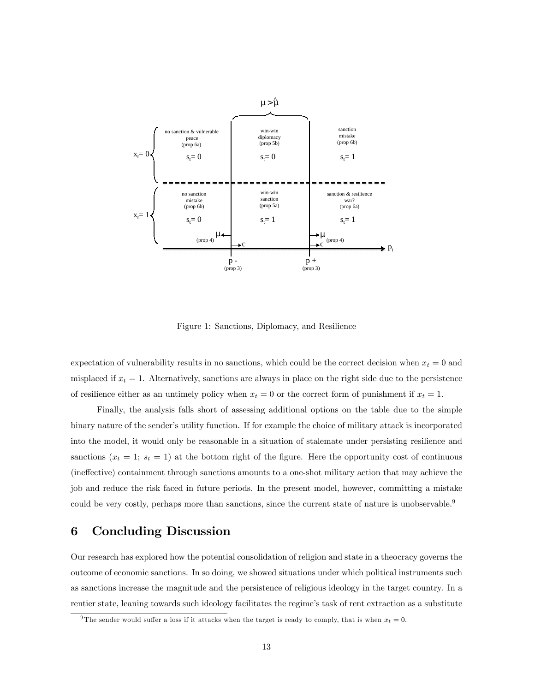

Figure 1: Sanctions, Diplomacy, and Resilience

expectation of vulnerability results in no sanctions, which could be the correct decision when  $x_t = 0$  and misplaced if  $x_t = 1$ . Alternatively, sanctions are always in place on the right side due to the persistence of resilience either as an untimely policy when  $x_t = 0$  or the correct form of punishment if  $x_t = 1$ .

Finally, the analysis falls short of assessing additional options on the table due to the simple binary nature of the sender's utility function. If for example the choice of military attack is incorporated into the model, it would only be reasonable in a situation of stalemate under persisting resilience and sanctions  $(x_t = 1; s_t = 1)$  at the bottom right of the figure. Here the opportunity cost of continuous (ine§ective) containment through sanctions amounts to a one-shot military action that may achieve the job and reduce the risk faced in future periods. In the present model, however, committing a mistake could be very costly, perhaps more than sanctions, since the current state of nature is unobservable.<sup>9</sup>

## 6 Concluding Discussion

Our research has explored how the potential consolidation of religion and state in a theocracy governs the outcome of economic sanctions. In so doing, we showed situations under which political instruments such as sanctions increase the magnitude and the persistence of religious ideology in the target country. In a rentier state, leaning towards such ideology facilitates the regime's task of rent extraction as a substitute

<sup>&</sup>lt;sup>9</sup>The sender would suffer a loss if it attacks when the target is ready to comply, that is when  $x_t = 0$ .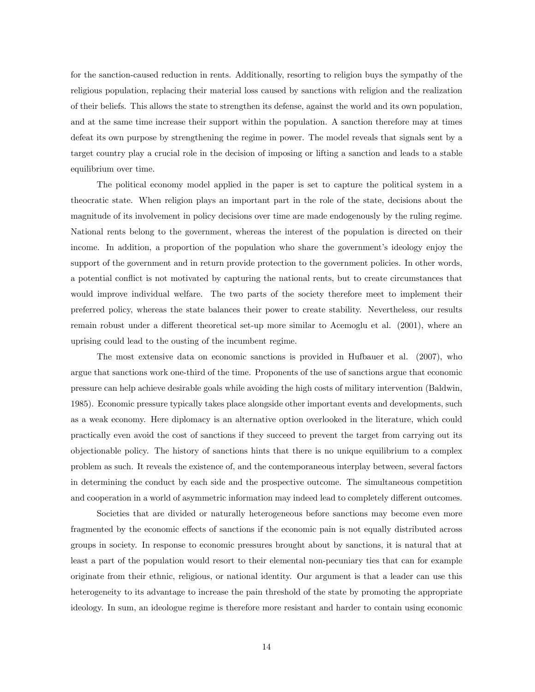for the sanction-caused reduction in rents. Additionally, resorting to religion buys the sympathy of the religious population, replacing their material loss caused by sanctions with religion and the realization of their beliefs. This allows the state to strengthen its defense, against the world and its own population, and at the same time increase their support within the population. A sanction therefore may at times defeat its own purpose by strengthening the regime in power. The model reveals that signals sent by a target country play a crucial role in the decision of imposing or lifting a sanction and leads to a stable equilibrium over time.

The political economy model applied in the paper is set to capture the political system in a theocratic state. When religion plays an important part in the role of the state, decisions about the magnitude of its involvement in policy decisions over time are made endogenously by the ruling regime. National rents belong to the government, whereas the interest of the population is directed on their income. In addition, a proportion of the population who share the government's ideology enjoy the support of the government and in return provide protection to the government policies. In other words, a potential conflict is not motivated by capturing the national rents, but to create circumstances that would improve individual welfare. The two parts of the society therefore meet to implement their preferred policy, whereas the state balances their power to create stability. Nevertheless, our results remain robust under a different theoretical set-up more similar to Acemoglu et al. (2001), where an uprising could lead to the ousting of the incumbent regime.

The most extensive data on economic sanctions is provided in Hufbauer et al. (2007), who argue that sanctions work one-third of the time. Proponents of the use of sanctions argue that economic pressure can help achieve desirable goals while avoiding the high costs of military intervention (Baldwin, 1985). Economic pressure typically takes place alongside other important events and developments, such as a weak economy. Here diplomacy is an alternative option overlooked in the literature, which could practically even avoid the cost of sanctions if they succeed to prevent the target from carrying out its objectionable policy. The history of sanctions hints that there is no unique equilibrium to a complex problem as such. It reveals the existence of, and the contemporaneous interplay between, several factors in determining the conduct by each side and the prospective outcome. The simultaneous competition and cooperation in a world of asymmetric information may indeed lead to completely different outcomes.

Societies that are divided or naturally heterogeneous before sanctions may become even more fragmented by the economic effects of sanctions if the economic pain is not equally distributed across groups in society. In response to economic pressures brought about by sanctions, it is natural that at least a part of the population would resort to their elemental non-pecuniary ties that can for example originate from their ethnic, religious, or national identity. Our argument is that a leader can use this heterogeneity to its advantage to increase the pain threshold of the state by promoting the appropriate ideology. In sum, an ideologue regime is therefore more resistant and harder to contain using economic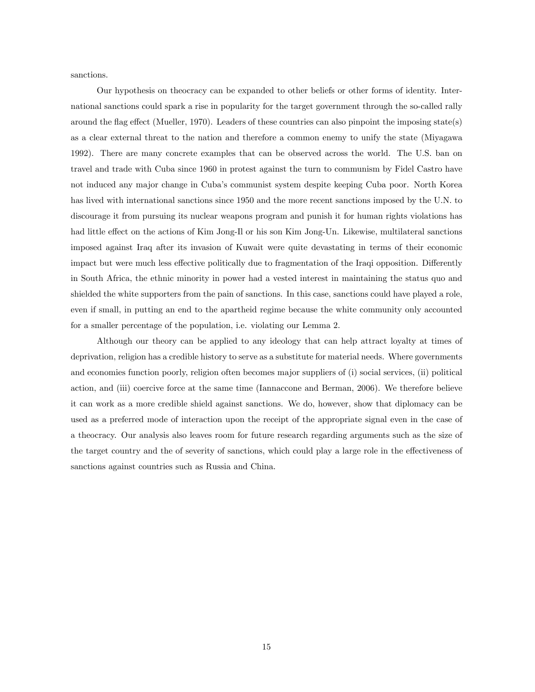sanctions.

Our hypothesis on theocracy can be expanded to other beliefs or other forms of identity. International sanctions could spark a rise in popularity for the target government through the so-called rally around the flag effect (Mueller, 1970). Leaders of these countries can also pinpoint the imposing state(s) as a clear external threat to the nation and therefore a common enemy to unify the state (Miyagawa 1992). There are many concrete examples that can be observed across the world. The U.S. ban on travel and trade with Cuba since 1960 in protest against the turn to communism by Fidel Castro have not induced any major change in Cubaís communist system despite keeping Cuba poor. North Korea has lived with international sanctions since 1950 and the more recent sanctions imposed by the U.N. to discourage it from pursuing its nuclear weapons program and punish it for human rights violations has had little effect on the actions of Kim Jong-Il or his son Kim Jong-Un. Likewise, multilateral sanctions imposed against Iraq after its invasion of Kuwait were quite devastating in terms of their economic impact but were much less effective politically due to fragmentation of the Iraqi opposition. Differently in South Africa, the ethnic minority in power had a vested interest in maintaining the status quo and shielded the white supporters from the pain of sanctions. In this case, sanctions could have played a role, even if small, in putting an end to the apartheid regime because the white community only accounted for a smaller percentage of the population, i.e. violating our Lemma 2.

Although our theory can be applied to any ideology that can help attract loyalty at times of deprivation, religion has a credible history to serve as a substitute for material needs. Where governments and economies function poorly, religion often becomes major suppliers of (i) social services, (ii) political action, and (iii) coercive force at the same time (Iannaccone and Berman, 2006). We therefore believe it can work as a more credible shield against sanctions. We do, however, show that diplomacy can be used as a preferred mode of interaction upon the receipt of the appropriate signal even in the case of a theocracy. Our analysis also leaves room for future research regarding arguments such as the size of the target country and the of severity of sanctions, which could play a large role in the effectiveness of sanctions against countries such as Russia and China.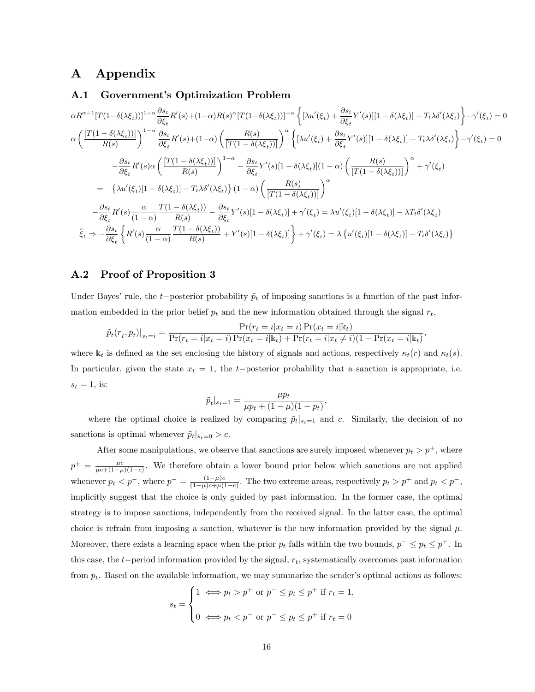## A Appendix

#### A.1 Government's Optimization Problem

$$
\alpha R^{\alpha-1} [T(1-\delta(\lambda\xi_t))]^{1-\alpha} \frac{\partial s_t}{\partial \xi_t} R'(s) + (1-\alpha) R(s)^{\alpha} [T(1-\delta(\lambda\xi_t))]^{-\alpha} \left\{ [\lambda u'(\xi_t) + \frac{\partial s_t}{\partial \xi_t} Y'(s)][1 - \delta(\lambda\xi_t)] - T_t \lambda \delta'(\lambda\xi_t) \right\} - \gamma'(\xi_t) = 0
$$
  
\n
$$
\alpha \left( \frac{[T(1-\delta(\lambda\xi_t))]}{R(s)} \right)^{1-\alpha} \frac{\partial s_t}{\partial \xi_t} R'(s) + (1-\alpha) \left( \frac{R(s)}{[T(1-\delta(\lambda\xi_t))]} \right)^{\alpha} \left\{ [\lambda u'(\xi_t) + \frac{\partial s_t}{\partial \xi_t} Y'(s)][1 - \delta(\lambda\xi_t)] - T_t \lambda \delta'(\lambda\xi_t) \right\} - \gamma'(\xi_t) = 0
$$
  
\n
$$
- \frac{\partial s_t}{\partial \xi_t} R'(s) \alpha \left( \frac{[T(1-\delta(\lambda\xi_t))]}{R(s)} \right)^{1-\alpha} - \frac{\partial s_t}{\partial \xi_t} Y'(s)[1 - \delta(\lambda\xi_t)][1 - \alpha) \left( \frac{R(s)}{[T(1-\delta(\lambda\xi_t))]} \right)^{\alpha} + \gamma'(\xi_t)
$$
  
\n
$$
= \left\{ \lambda u'(\xi_t)[1 - \delta(\lambda\xi_t)] - T_t \lambda \delta'(\lambda\xi_t) \right\} (1 - \alpha) \left( \frac{R(s)}{[T(1-\delta(\lambda\xi_t))]}\right)^{\alpha}
$$
  
\n
$$
- \frac{\partial s_t}{\partial \xi_t} R'(s) \frac{\alpha}{(1-\alpha)} \frac{T(1-\delta(\lambda\xi_t))}{R(s)} - \frac{\partial s_t}{\partial \xi_t} Y'(s)[1 - \delta(\lambda\xi_t)] + \gamma'(\xi_t) = \lambda u'(\xi_t)[1 - \delta(\lambda\xi_t)] - \lambda T_t \delta'(\lambda\xi_t)
$$
  
\n
$$
\hat{\xi}_t \Rightarrow - \frac{\partial s_t}{\partial \xi_t} \left\{ R'(s) \frac{\alpha}{(1-\alpha)} \frac{T(1-\delta(\lambda\xi_t))}{R(s)} + Y'(s)[1 - \delta(\lambda\xi_t)] \right\} + \gamma'(\xi_t) = \lambda \left\{ u'(\xi_t)[1 - \delta
$$

#### A.2 Proof of Proposition 3

Under Bayes' rule, the t-posterior probability  $\tilde{p}_t$  of imposing sanctions is a function of the past information embedded in the prior belief  $p_t$  and the new information obtained through the signal  $r_t$ ,

$$
\tilde{p}_t(r_t, p_t)|_{s_t=i} = \frac{\Pr(r_t = i | x_t = i) \Pr(x_t = i | \mathbb{k}_t)}{\Pr(r_t = i | x_t = i) \Pr(x_t = i | \mathbb{k}_t) + \Pr(r_t = i | x_t \neq i) (1 - \Pr(x_t = i | \mathbb{k}_t)},
$$

where  $\mathbb{k}_t$  is defined as the set enclosing the history of signals and actions, respectively  $\kappa_t(r)$  and  $\kappa_t(s)$ . In particular, given the state  $x_t = 1$ , the t-posterior probability that a sanction is appropriate, i.e.  $s_t = 1$ , is:

$$
\tilde{p}_t|_{s_t=1} = \frac{\mu p_t}{\mu p_t + (1 - \mu)(1 - p_t)},
$$

where the optimal choice is realized by comparing  $\tilde{p}_t|_{s_t=1}$  and c. Similarly, the decision of no sanctions is optimal whenever  $\tilde{p}_t|_{s_t=0} > c$ .

After some manipulations, we observe that sanctions are surely imposed whenever  $p_t > p^+$ , where  $p^+ = \frac{\mu c}{\mu c + (1-\mu)(1-c)}$ . We therefore obtain a lower bound prior below which sanctions are not applied whenever  $p_t < p^-$ , where  $p^- = \frac{(1-\mu)c}{(1-\mu)c+\mu(r)}$  $\frac{(1-\mu)c}{(1-\mu)c+\mu(1-c)}$ . The two extreme areas, respectively  $p_t > p^+$  and  $p_t < p^-$ , implicitly suggest that the choice is only guided by past information. In the former case, the optimal strategy is to impose sanctions, independently from the received signal. In the latter case, the optimal choice is refrain from imposing a sanction, whatever is the new information provided by the signal  $\mu$ . Moreover, there exists a learning space when the prior  $p_t$  falls within the two bounds,  $p^- \leq p_t \leq p^+$ . In this case, the  $t$ -period information provided by the signal,  $r_t$ , systematically overcomes past information from  $p_t$ . Based on the available information, we may summarize the sender's optimal actions as follows:

$$
s_t = \begin{cases} 1 \iff p_t > p^+ \text{ or } p^- \leq p_t \leq p^+ \text{ if } r_t = 1, \\ 0 \iff p_t < p^- \text{ or } p^- \leq p_t \leq p^+ \text{ if } r_t = 0 \end{cases}
$$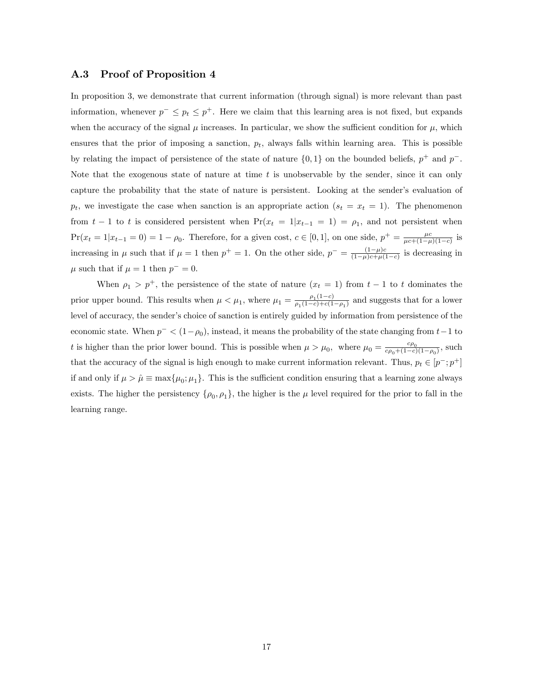#### A.3 Proof of Proposition 4

In proposition 3, we demonstrate that current information (through signal) is more relevant than past information, whenever  $p^- \leq p_t \leq p^+$ . Here we claim that this learning area is not fixed, but expands when the accuracy of the signal  $\mu$  increases. In particular, we show the sufficient condition for  $\mu$ , which ensures that the prior of imposing a sanction,  $p_t$ , always falls within learning area. This is possible by relating the impact of persistence of the state of nature  $\{0,1\}$  on the bounded beliefs,  $p^+$  and  $p^-$ . Note that the exogenous state of nature at time  $t$  is unobservable by the sender, since it can only capture the probability that the state of nature is persistent. Looking at the sender's evaluation of  $p_t$ , we investigate the case when sanction is an appropriate action  $(s_t = x_t = 1)$ . The phenomenon from  $t-1$  to t is considered persistent when  $Pr(x_t = 1 | x_{t-1} = 1) = \rho_1$ , and not persistent when  $Pr(x_t = 1 | x_{t-1} = 0) = 1 - \rho_0$ . Therefore, for a given cost,  $c \in [0, 1]$ , on one side,  $p^+ = \frac{\mu c}{\mu c + (1 - \mu)(1 - c)}$  is increasing in  $\mu$  such that if  $\mu = 1$  then  $p^+ = 1$ . On the other side,  $p^- = \frac{(1-\mu)c}{(1-\mu)c + \mu(c)}$  $\frac{(1-\mu)c}{(1-\mu)c+\mu(1-c)}$  is decreasing in  $\mu$  such that if  $\mu = 1$  then  $p^- = 0$ .

When  $\rho_1 > p^+$ , the persistence of the state of nature  $(x_t = 1)$  from  $t - 1$  to t dominates the prior upper bound. This results when  $\mu < \mu_1$ , where  $\mu_1 = \frac{\rho_1(1-c)}{\rho_1(1-c)+c(1-\rho_1)}$  and suggests that for a lower level of accuracy, the sender's choice of sanction is entirely guided by information from persistence of the economic state. When  $p^{-} < (1 - \rho_0)$ , instead, it means the probability of the state changing from  $t-1$  to t is higher than the prior lower bound. This is possible when  $\mu > \mu_0$ , where  $\mu_0 = \frac{c\rho_0}{c\rho_0 + (1-c)}$  $\frac{c\rho_0}{c\rho_0+(1-c)(1-\rho_0)},$  such that the accuracy of the signal is high enough to make current information relevant. Thus,  $p_t \in [p^-; p^+]$ if and only if  $\mu > \hat{\mu} \equiv \max{\mu_0; \mu_1}$ . This is the sufficient condition ensuring that a learning zone always exists. The higher the persistency  $\{\rho_0, \rho_1\}$ , the higher is the  $\mu$  level required for the prior to fall in the learning range.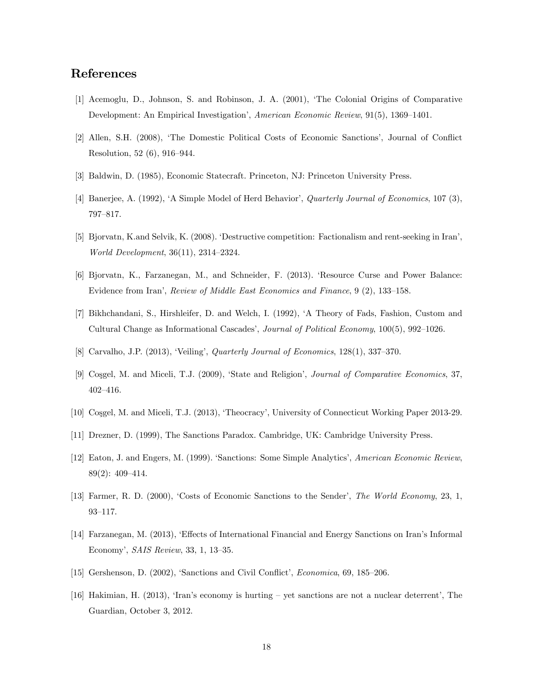## References

- [1] Acemoglu, D., Johnson, S. and Robinson, J. A. (2001), ëThe Colonial Origins of Comparative Development: An Empirical Investigation', American Economic Review, 91(5), 1369–1401.
- [2] Allen, S.H. (2008), 'The Domestic Political Costs of Economic Sanctions', Journal of Conflict Resolution, 52 (6), 916–944.
- [3] Baldwin, D. (1985), Economic Statecraft. Princeton, NJ: Princeton University Press.
- [4] Banerjee, A. (1992), 'A Simple Model of Herd Behavior', *Quarterly Journal of Economics*, 107 (3), 797-817.
- [5] Bjorvatn, K.and Selvik, K. (2008). ëDestructive competition: Factionalism and rent-seeking in Iraní, World Development,  $36(11)$ ,  $2314-2324$ .
- [6] Bjorvatn, K., Farzanegan, M., and Schneider, F. (2013). ëResource Curse and Power Balance: Evidence from Iran', Review of Middle East Economics and Finance,  $9(2)$ ,  $133-158$ .
- [7] Bikhchandani, S., Hirshleifer, D. and Welch, I. (1992), ëA Theory of Fads, Fashion, Custom and Cultural Change as Informational Cascades', *Journal of Political Economy*,  $100(5)$ ,  $992-1026$ .
- [8] Carvalho, J.P.  $(2013)$ , 'Veiling', *Quarterly Journal of Economics*,  $128(1)$ ,  $337-370$ .
- [9] Cosgel, M. and Miceli, T.J. (2009), 'State and Religion', *Journal of Comparative Economics*, 37, 402-416.
- [10] Cosgel, M. and Miceli, T.J. (2013), 'Theocracy', University of Connecticut Working Paper 2013-29.
- [11] Drezner, D. (1999), The Sanctions Paradox. Cambridge, UK: Cambridge University Press.
- [12] Eaton, J. and Engers, M. (1999). 'Sanctions: Some Simple Analytics', American Economic Review, 89(2): 409-414.
- [13] Farmer, R. D. (2000), 'Costs of Economic Sanctions to the Sender', The World Economy, 23, 1, 93-117.
- [14] Farzanegan, M. (2013), 'Effects of International Financial and Energy Sanctions on Iran's Informal Economy', *SAIS Review*, 33, 1, 13–35.
- [15] Gershenson, D.  $(2002)$ , 'Sanctions and Civil Conflict', *Economica*, 69, 185–206.
- [16] Hakimian, H. (2013), 'Iran's economy is hurting  $-$  yet sanctions are not a nuclear deterrent', The Guardian, October 3, 2012.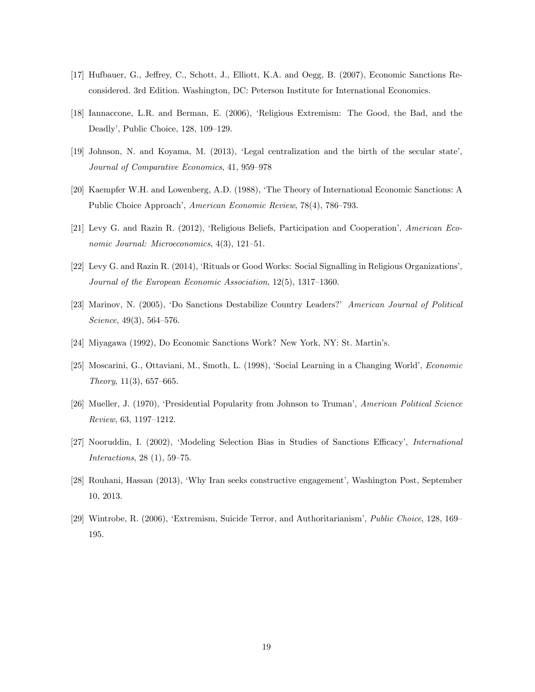- [17] Hufbauer, G., Jeffrey, C., Schott, J., Elliott, K.A. and Oegg, B. (2007), Economic Sanctions Reconsidered. 3rd Edition. Washington, DC: Peterson Institute for International Economics.
- [18] Iannaccone, L.R. and Berman, E. (2006), ëReligious Extremism: The Good, the Bad, and the Deadly', Public Choice, 128, 109–129.
- [19] Johnson, N. and Koyama, M. (2013), 'Legal centralization and the birth of the secular state', Journal of Comparative Economics, 41, 959-978
- [20] Kaempfer W.H. and Lowenberg, A.D. (1988), ëThe Theory of International Economic Sanctions: A Public Choice Approach', American Economic Review, 78(4), 786-793.
- [21] Levy G. and Razin R. (2012), 'Religious Beliefs, Participation and Cooperation', American Economic Journal: Microeconomics,  $4(3)$ ,  $121-51$ .
- [22] Levy G. and Razin R. (2014), ëRituals or Good Works: Social Signalling in Religious Organizationsí, Journal of the European Economic Association,  $12(5)$ ,  $1317-1360$ .
- [23] Marinov, N. (2005), 'Do Sanctions Destabilize Country Leaders?' American Journal of Political  $Science, 49(3), 564–576.$
- [24] Miyagawa (1992), Do Economic Sanctions Work? New York, NY: St. Martinís.
- [25] Moscarini, G., Ottaviani, M., Smoth, L. (1998), 'Social Learning in a Changing World', Economic Theory,  $11(3)$ , 657–665.
- [26] Mueller, J. (1970), 'Presidential Popularity from Johnson to Truman', American Political Science  $Review, 63, 1197-1212.$
- [27] Nooruddin, I. (2002), 'Modeling Selection Bias in Studies of Sanctions Efficacy', International Interactions,  $28(1)$ ,  $59-75$ .
- [28] Rouhani, Hassan (2013), 'Why Iran seeks constructive engagement', Washington Post, September 10, 2013.
- [29] Wintrobe, R. (2006), 'Extremism, Suicide Terror, and Authoritarianism', Public Choice, 128, 169 195.